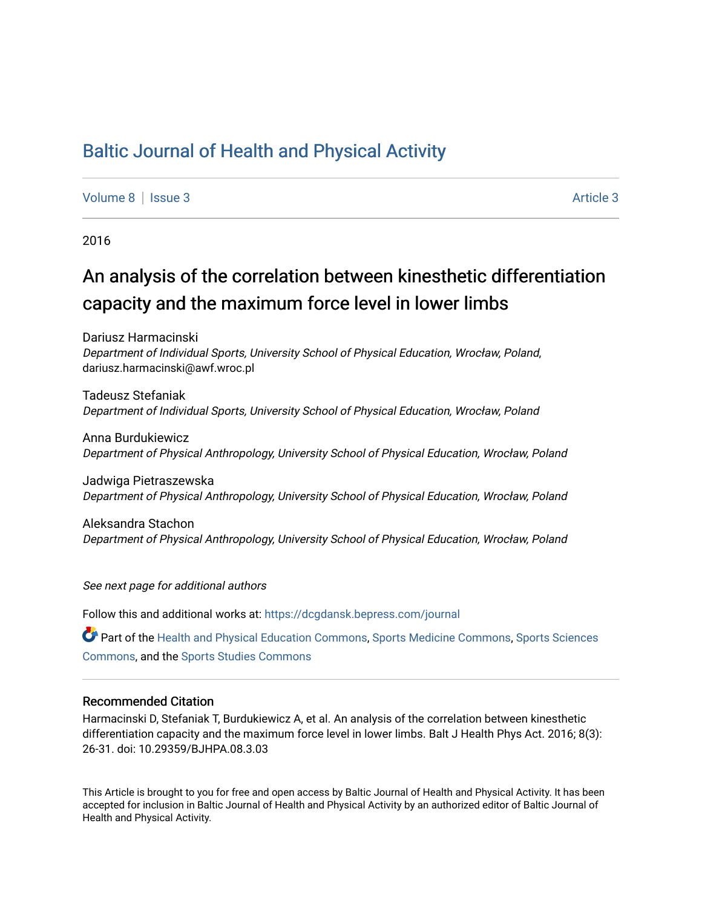# [Baltic Journal of Health and Physical Activity](https://dcgdansk.bepress.com/journal)

[Volume 8](https://dcgdansk.bepress.com/journal/vol8) | [Issue 3](https://dcgdansk.bepress.com/journal/vol8/iss3) Article 3

2016

# An analysis of the correlation between kinesthetic differentiation capacity and the maximum force level in lower limbs

Dariusz Harmacinski Department of Individual Sports, University School of Physical Education, Wrocław, Poland, dariusz.harmacinski@awf.wroc.pl

Tadeusz Stefaniak Department of Individual Sports, University School of Physical Education, Wrocław, Poland

Anna Burdukiewicz Department of Physical Anthropology, University School of Physical Education, Wrocław, Poland

Jadwiga Pietraszewska Department of Physical Anthropology, University School of Physical Education, Wrocław, Poland

Aleksandra Stachon Department of Physical Anthropology, University School of Physical Education, Wrocław, Poland

See next page for additional authors

Follow this and additional works at: [https://dcgdansk.bepress.com/journal](https://dcgdansk.bepress.com/journal?utm_source=dcgdansk.bepress.com%2Fjournal%2Fvol8%2Fiss3%2F3&utm_medium=PDF&utm_campaign=PDFCoverPages)

Part of the [Health and Physical Education Commons](http://network.bepress.com/hgg/discipline/1327?utm_source=dcgdansk.bepress.com%2Fjournal%2Fvol8%2Fiss3%2F3&utm_medium=PDF&utm_campaign=PDFCoverPages), [Sports Medicine Commons,](http://network.bepress.com/hgg/discipline/1331?utm_source=dcgdansk.bepress.com%2Fjournal%2Fvol8%2Fiss3%2F3&utm_medium=PDF&utm_campaign=PDFCoverPages) [Sports Sciences](http://network.bepress.com/hgg/discipline/759?utm_source=dcgdansk.bepress.com%2Fjournal%2Fvol8%2Fiss3%2F3&utm_medium=PDF&utm_campaign=PDFCoverPages) [Commons](http://network.bepress.com/hgg/discipline/759?utm_source=dcgdansk.bepress.com%2Fjournal%2Fvol8%2Fiss3%2F3&utm_medium=PDF&utm_campaign=PDFCoverPages), and the [Sports Studies Commons](http://network.bepress.com/hgg/discipline/1198?utm_source=dcgdansk.bepress.com%2Fjournal%2Fvol8%2Fiss3%2F3&utm_medium=PDF&utm_campaign=PDFCoverPages) 

#### Recommended Citation

Harmacinski D, Stefaniak T, Burdukiewicz A, et al. An analysis of the correlation between kinesthetic differentiation capacity and the maximum force level in lower limbs. Balt J Health Phys Act. 2016; 8(3): 26-31. doi: 10.29359/BJHPA.08.3.03

This Article is brought to you for free and open access by Baltic Journal of Health and Physical Activity. It has been accepted for inclusion in Baltic Journal of Health and Physical Activity by an authorized editor of Baltic Journal of Health and Physical Activity.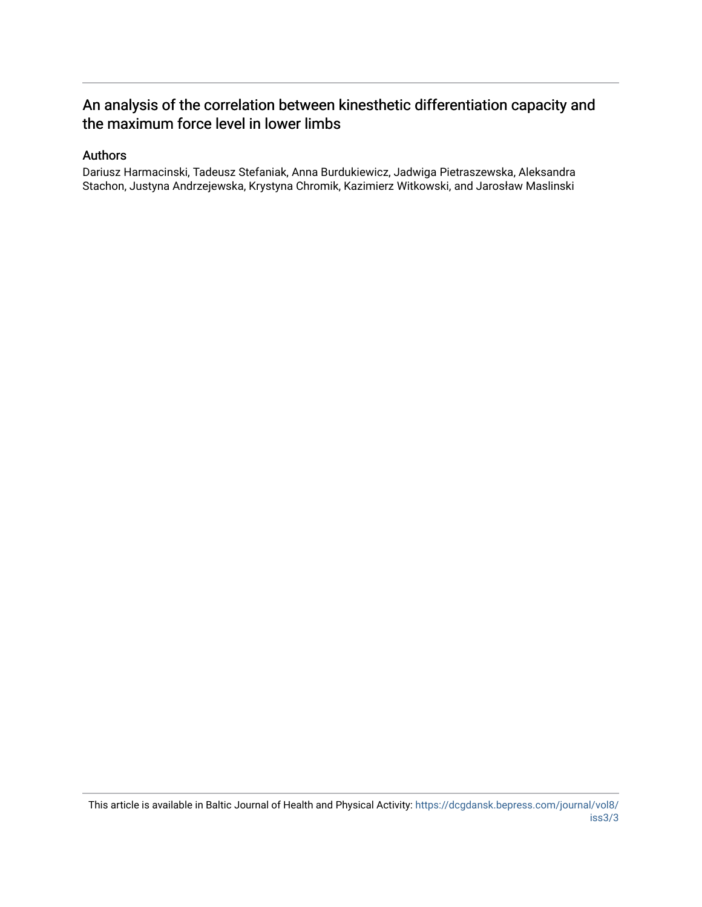# An analysis of the correlation between kinesthetic differentiation capacity and the maximum force level in lower limbs

# Authors

Dariusz Harmacinski, Tadeusz Stefaniak, Anna Burdukiewicz, Jadwiga Pietraszewska, Aleksandra Stachon, Justyna Andrzejewska, Krystyna Chromik, Kazimierz Witkowski, and Jarosław Maslinski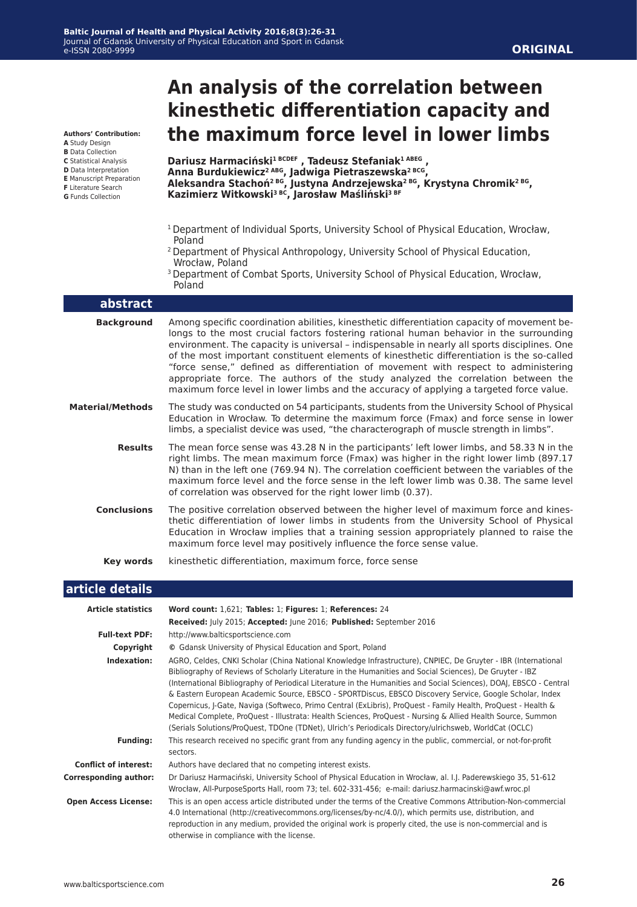**Authors' Contribution:**

- **A** Study Design
- **B** Data Collection **C** Statistical Analysis
- **D** Data Interpretation
- **E** Manuscript Preparation
- **F** Literature Search
- **G** Funds Collection

# **kinesthetic differentiation capacity and the maximum force level in lower limbs Dariusz Harmaciński1 BCDEF , Tadeusz Stefaniak1 ABEG ,**

**An analysis of the correlation between** 

**Anna Burdukiewicz2 ABG, Jadwiga Pietraszewska2 BCG, Aleksandra Stachoń2 BG, Justyna Andrzejewska2 BG, Krystyna Chromik2 BG, Kazimierz Witkowski3 BC, Jarosław Maśliński3 BF**

- <sup>1</sup> Department of Individual Sports, University School of Physical Education, Wrocław, Poland
- 2 Department of Physical Anthropology, University School of Physical Education, Wrocław, Poland
- <sup>3</sup> Department of Combat Sports, University School of Physical Education, Wrocław, Poland

| abstract                |                                                                                                                                                                                                                                                                                                                                                                                                                                                                                                                                                                                                                                                           |
|-------------------------|-----------------------------------------------------------------------------------------------------------------------------------------------------------------------------------------------------------------------------------------------------------------------------------------------------------------------------------------------------------------------------------------------------------------------------------------------------------------------------------------------------------------------------------------------------------------------------------------------------------------------------------------------------------|
| <b>Background</b>       | Among specific coordination abilities, kinesthetic differentiation capacity of movement be-<br>longs to the most crucial factors fostering rational human behavior in the surrounding<br>environment. The capacity is universal - indispensable in nearly all sports disciplines. One<br>of the most important constituent elements of kinesthetic differentiation is the so-called<br>"force sense," defined as differentiation of movement with respect to administering<br>appropriate force. The authors of the study analyzed the correlation between the<br>maximum force level in lower limbs and the accuracy of applying a targeted force value. |
| <b>Material/Methods</b> | The study was conducted on 54 participants, students from the University School of Physical<br>Education in Wrocław. To determine the maximum force (Fmax) and force sense in lower<br>limbs, a specialist device was used, "the characterograph of muscle strength in limbs".                                                                                                                                                                                                                                                                                                                                                                            |
| <b>Results</b>          | The mean force sense was 43.28 N in the participants' left lower limbs, and 58.33 N in the<br>right limbs. The mean maximum force (Fmax) was higher in the right lower limb (897.17<br>N) than in the left one (769.94 N). The correlation coefficient between the variables of the<br>maximum force level and the force sense in the left lower limb was 0.38. The same level<br>of correlation was observed for the right lower limb (0.37).                                                                                                                                                                                                            |
| <b>Conclusions</b>      | The positive correlation observed between the higher level of maximum force and kines-<br>thetic differentiation of lower limbs in students from the University School of Physical<br>Education in Wrocław implies that a training session appropriately planned to raise the<br>maximum force level may positively influence the force sense value.                                                                                                                                                                                                                                                                                                      |
| Key words               | kinesthetic differentiation, maximum force, force sense                                                                                                                                                                                                                                                                                                                                                                                                                                                                                                                                                                                                   |

| article details              |                                                                                                                                                                                                                                                                                                                                                                                                                                                                                                                                                                                                                                                                                                                                                                                                      |  |  |  |  |  |  |  |  |
|------------------------------|------------------------------------------------------------------------------------------------------------------------------------------------------------------------------------------------------------------------------------------------------------------------------------------------------------------------------------------------------------------------------------------------------------------------------------------------------------------------------------------------------------------------------------------------------------------------------------------------------------------------------------------------------------------------------------------------------------------------------------------------------------------------------------------------------|--|--|--|--|--|--|--|--|
| <b>Article statistics</b>    | Word count: 1,621; Tables: 1; Figures: 1; References: 24<br>Received: July 2015; Accepted: June 2016; Published: September 2016                                                                                                                                                                                                                                                                                                                                                                                                                                                                                                                                                                                                                                                                      |  |  |  |  |  |  |  |  |
| <b>Full-text PDF:</b>        | http://www.balticsportscience.com                                                                                                                                                                                                                                                                                                                                                                                                                                                                                                                                                                                                                                                                                                                                                                    |  |  |  |  |  |  |  |  |
| Copyright                    | © Gdansk University of Physical Education and Sport, Poland                                                                                                                                                                                                                                                                                                                                                                                                                                                                                                                                                                                                                                                                                                                                          |  |  |  |  |  |  |  |  |
| Indexation:                  | AGRO, Celdes, CNKI Scholar (China National Knowledge Infrastructure), CNPIEC, De Gruyter - IBR (International<br>Bibliography of Reviews of Scholarly Literature in the Humanities and Social Sciences), De Gruyter - IBZ<br>(International Bibliography of Periodical Literature in the Humanities and Social Sciences), DOAJ, EBSCO - Central<br>& Eastern European Academic Source, EBSCO - SPORTDiscus, EBSCO Discovery Service, Google Scholar, Index<br>Copernicus, J-Gate, Naviga (Softweco, Primo Central (ExLibris), ProQuest - Family Health, ProQuest - Health &<br>Medical Complete, ProQuest - Illustrata: Health Sciences, ProQuest - Nursing & Allied Health Source, Summon<br>(Serials Solutions/ProQuest, TDOne (TDNet), Ulrich's Periodicals Directory/ulrichsweb, WorldCat (OCLC) |  |  |  |  |  |  |  |  |
| <b>Funding:</b>              | This research received no specific grant from any funding agency in the public, commercial, or not-for-profit<br>sectors.                                                                                                                                                                                                                                                                                                                                                                                                                                                                                                                                                                                                                                                                            |  |  |  |  |  |  |  |  |
| <b>Conflict of interest:</b> | Authors have declared that no competing interest exists.                                                                                                                                                                                                                                                                                                                                                                                                                                                                                                                                                                                                                                                                                                                                             |  |  |  |  |  |  |  |  |
| <b>Corresponding author:</b> | Dr Dariusz Harmaciński, University School of Physical Education in Wrocław, al. I.J. Paderewskiego 35, 51-612<br>Wrocław, All-PurposeSports Hall, room 73; tel. 602-331-456; e-mail: dariusz.harmacinski@awf.wroc.pl                                                                                                                                                                                                                                                                                                                                                                                                                                                                                                                                                                                 |  |  |  |  |  |  |  |  |
| <b>Open Access License:</b>  | This is an open access article distributed under the terms of the Creative Commons Attribution-Non-commercial<br>4.0 International (http://creativecommons.org/licenses/by-nc/4.0/), which permits use, distribution, and<br>reproduction in any medium, provided the original work is properly cited, the use is non-commercial and is<br>otherwise in compliance with the license.                                                                                                                                                                                                                                                                                                                                                                                                                 |  |  |  |  |  |  |  |  |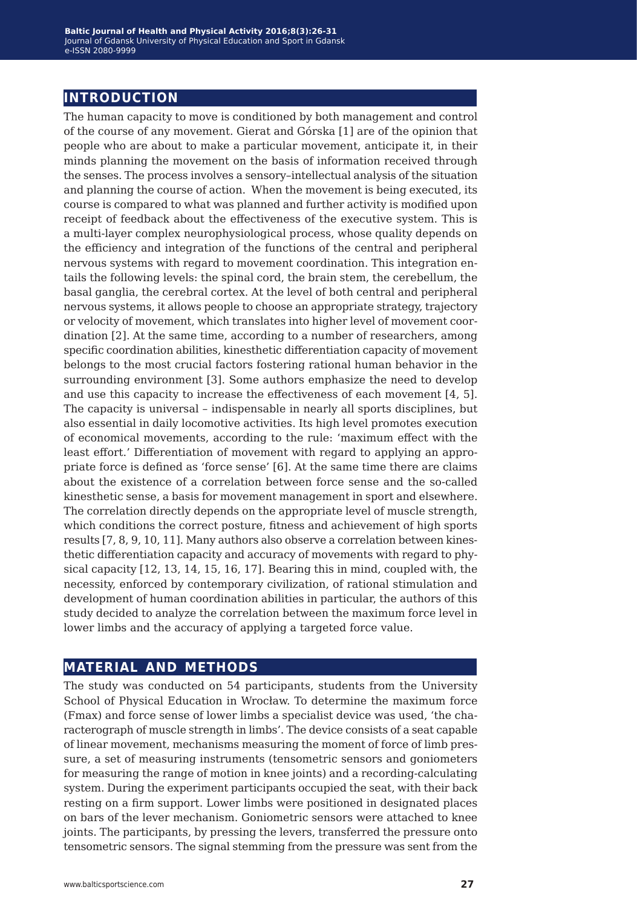# **introduction**

The human capacity to move is conditioned by both management and control of the course of any movement. Gierat and Górska [1] are of the opinion that people who are about to make a particular movement, anticipate it, in their minds planning the movement on the basis of information received through the senses. The process involves a sensory–intellectual analysis of the situation and planning the course of action. When the movement is being executed, its course is compared to what was planned and further activity is modified upon receipt of feedback about the effectiveness of the executive system. This is a multi-layer complex neurophysiological process, whose quality depends on the efficiency and integration of the functions of the central and peripheral nervous systems with regard to movement coordination. This integration entails the following levels: the spinal cord, the brain stem, the cerebellum, the basal ganglia, the cerebral cortex. At the level of both central and peripheral nervous systems, it allows people to choose an appropriate strategy, trajectory or velocity of movement, which translates into higher level of movement coordination [2]. At the same time, according to a number of researchers, among specific coordination abilities, kinesthetic differentiation capacity of movement belongs to the most crucial factors fostering rational human behavior in the surrounding environment [3]. Some authors emphasize the need to develop and use this capacity to increase the effectiveness of each movement [4, 5]. The capacity is universal – indispensable in nearly all sports disciplines, but also essential in daily locomotive activities. Its high level promotes execution of economical movements, according to the rule: 'maximum effect with the least effort.' Differentiation of movement with regard to applying an appropriate force is defined as 'force sense' [6]. At the same time there are claims about the existence of a correlation between force sense and the so-called kinesthetic sense, a basis for movement management in sport and elsewhere. The correlation directly depends on the appropriate level of muscle strength, which conditions the correct posture, fitness and achievement of high sports results [7, 8, 9, 10, 11]. Many authors also observe a correlation between kinesthetic differentiation capacity and accuracy of movements with regard to physical capacity [12, 13, 14, 15, 16, 17]. Bearing this in mind, coupled with, the necessity, enforced by contemporary civilization, of rational stimulation and development of human coordination abilities in particular, the authors of this study decided to analyze the correlation between the maximum force level in lower limbs and the accuracy of applying a targeted force value.

# **material and methods**

The study was conducted on 54 participants, students from the University School of Physical Education in Wrocław. To determine the maximum force (Fmax) and force sense of lower limbs a specialist device was used, 'the characterograph of muscle strength in limbs'. The device consists of a seat capable of linear movement, mechanisms measuring the moment of force of limb pressure, a set of measuring instruments (tensometric sensors and goniometers for measuring the range of motion in knee joints) and a recording-calculating system. During the experiment participants occupied the seat, with their back resting on a firm support. Lower limbs were positioned in designated places on bars of the lever mechanism. Goniometric sensors were attached to knee joints. The participants, by pressing the levers, transferred the pressure onto tensometric sensors. The signal stemming from the pressure was sent from the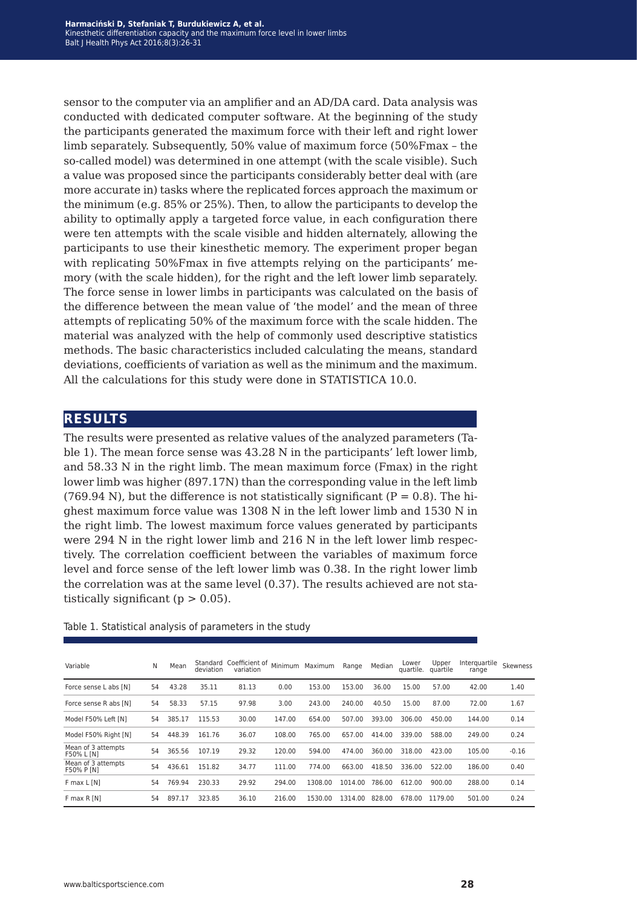sensor to the computer via an amplifier and an AD/DA card. Data analysis was conducted with dedicated computer software. At the beginning of the study the participants generated the maximum force with their left and right lower limb separately. Subsequently, 50% value of maximum force (50%Fmax – the so-called model) was determined in one attempt (with the scale visible). Such a value was proposed since the participants considerably better deal with (are more accurate in) tasks where the replicated forces approach the maximum or the minimum (e.g. 85% or 25%). Then, to allow the participants to develop the ability to optimally apply a targeted force value, in each configuration there were ten attempts with the scale visible and hidden alternately, allowing the participants to use their kinesthetic memory. The experiment proper began with replicating 50%Fmax in five attempts relying on the participants' memory (with the scale hidden), for the right and the left lower limb separately. The force sense in lower limbs in participants was calculated on the basis of the difference between the mean value of 'the model' and the mean of three attempts of replicating 50% of the maximum force with the scale hidden. The material was analyzed with the help of commonly used descriptive statistics methods. The basic characteristics included calculating the means, standard deviations, coefficients of variation as well as the minimum and the maximum. All the calculations for this study were done in STATISTICA 10.0.

### **results**

The results were presented as relative values of the analyzed parameters (Table 1). The mean force sense was 43.28 N in the participants' left lower limb, and 58.33 N in the right limb. The mean maximum force (Fmax) in the right lower limb was higher (897.17N) than the corresponding value in the left limb (769.94 N), but the difference is not statistically significant ( $P = 0.8$ ). The highest maximum force value was 1308 N in the left lower limb and 1530 N in the right limb. The lowest maximum force values generated by participants were 294 N in the right lower limb and 216 N in the left lower limb respectively. The correlation coefficient between the variables of maximum force level and force sense of the left lower limb was 0.38. In the right lower limb the correlation was at the same level (0.37). The results achieved are not statistically significant ( $p > 0.05$ ).

| Variable                                | N  | Mean   | deviation | Standard Coefficient of<br>variation | Minimum | Maximum | Range   | Median | Lower<br>quartile. | Upper<br>quartile | Interguartile<br>range | Skewness |
|-----------------------------------------|----|--------|-----------|--------------------------------------|---------|---------|---------|--------|--------------------|-------------------|------------------------|----------|
| Force sense L abs [N]                   | 54 | 43.28  | 35.11     | 81.13                                | 0.00    | 153.00  | 153.00  | 36.00  | 15.00              | 57.00             | 42.00                  | 1.40     |
| Force sense R abs [N]                   | 54 | 58.33  | 57.15     | 97.98                                | 3.00    | 243.00  | 240.00  | 40.50  | 15.00              | 87.00             | 72.00                  | 1.67     |
| Model F50% Left [N]                     | 54 | 385.17 | 115.53    | 30.00                                | 147.00  | 654.00  | 507.00  | 393.00 | 306.00             | 450.00            | 144.00                 | 0.14     |
| Model F50% Right [N]                    | 54 | 448.39 | 161.76    | 36.07                                | 108.00  | 765.00  | 657.00  | 414.00 | 339.00             | 588.00            | 249.00                 | 0.24     |
| Mean of 3 attempts<br>F50% L [N]        | 54 | 365.56 | 107.19    | 29.32                                | 120.00  | 594.00  | 474.00  | 360.00 | 318.00             | 423.00            | 105.00                 | $-0.16$  |
| Mean of 3 attempts<br><b>F50% P [N]</b> | 54 | 436.61 | 151.82    | 34.77                                | 111.00  | 774.00  | 663.00  | 418.50 | 336.00             | 522.00            | 186.00                 | 0.40     |
| F max L [N]                             | 54 | 769.94 | 230.33    | 29.92                                | 294.00  | 1308.00 | 1014.00 | 786.00 | 612.00             | 900.00            | 288.00                 | 0.14     |
| F max R [N]                             | 54 | 897.17 | 323.85    | 36.10                                | 216.00  | 1530.00 | 1314.00 | 828.00 | 678.00             | 1179.00           | 501.00                 | 0.24     |

Table 1. Statistical analysis of parameters in the study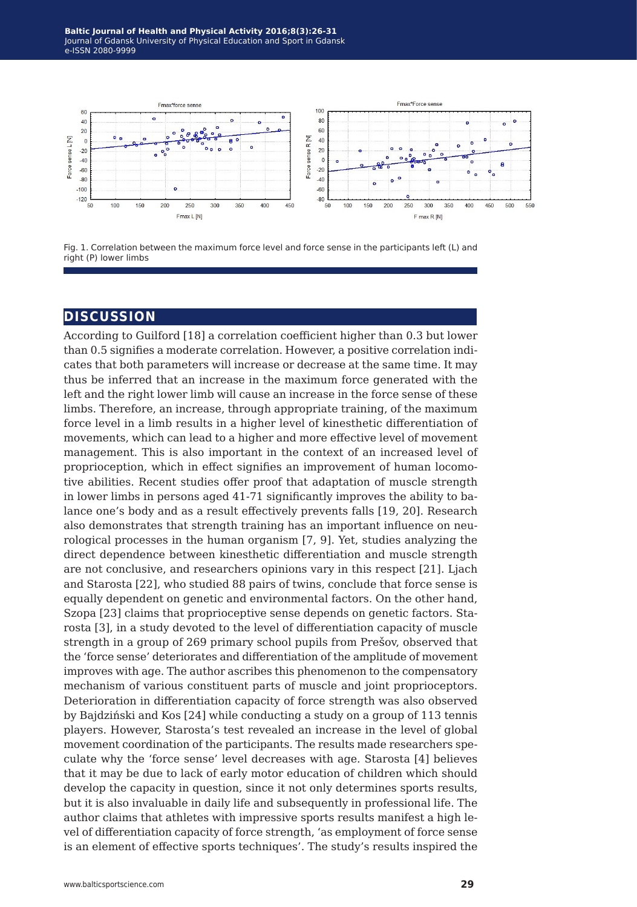



# **discussion**

According to Guilford [18] a correlation coefficient higher than 0.3 but lower than 0.5 signifies a moderate correlation. However, a positive correlation indicates that both parameters will increase or decrease at the same time. It may thus be inferred that an increase in the maximum force generated with the left and the right lower limb will cause an increase in the force sense of these limbs. Therefore, an increase, through appropriate training, of the maximum force level in a limb results in a higher level of kinesthetic differentiation of movements, which can lead to a higher and more effective level of movement management. This is also important in the context of an increased level of proprioception, which in effect signifies an improvement of human locomotive abilities. Recent studies offer proof that adaptation of muscle strength in lower limbs in persons aged 41-71 significantly improves the ability to balance one's body and as a result effectively prevents falls [19, 20]. Research also demonstrates that strength training has an important influence on neurological processes in the human organism [7, 9]. Yet, studies analyzing the direct dependence between kinesthetic differentiation and muscle strength are not conclusive, and researchers opinions vary in this respect [21]. Ljach and Starosta [22], who studied 88 pairs of twins, conclude that force sense is equally dependent on genetic and environmental factors. On the other hand, Szopa [23] claims that proprioceptive sense depends on genetic factors. Starosta [3], in a study devoted to the level of differentiation capacity of muscle strength in a group of 269 primary school pupils from Prešov, observed that the 'force sense' deteriorates and differentiation of the amplitude of movement improves with age. The author ascribes this phenomenon to the compensatory mechanism of various constituent parts of muscle and joint proprioceptors. Deterioration in differentiation capacity of force strength was also observed by Bajdziński and Kos [24] while conducting a study on a group of 113 tennis players. However, Starosta's test revealed an increase in the level of global movement coordination of the participants. The results made researchers speculate why the 'force sense' level decreases with age. Starosta [4] believes that it may be due to lack of early motor education of children which should develop the capacity in question, since it not only determines sports results, but it is also invaluable in daily life and subsequently in professional life. The author claims that athletes with impressive sports results manifest a high level of differentiation capacity of force strength, 'as employment of force sense is an element of effective sports techniques'. The study's results inspired the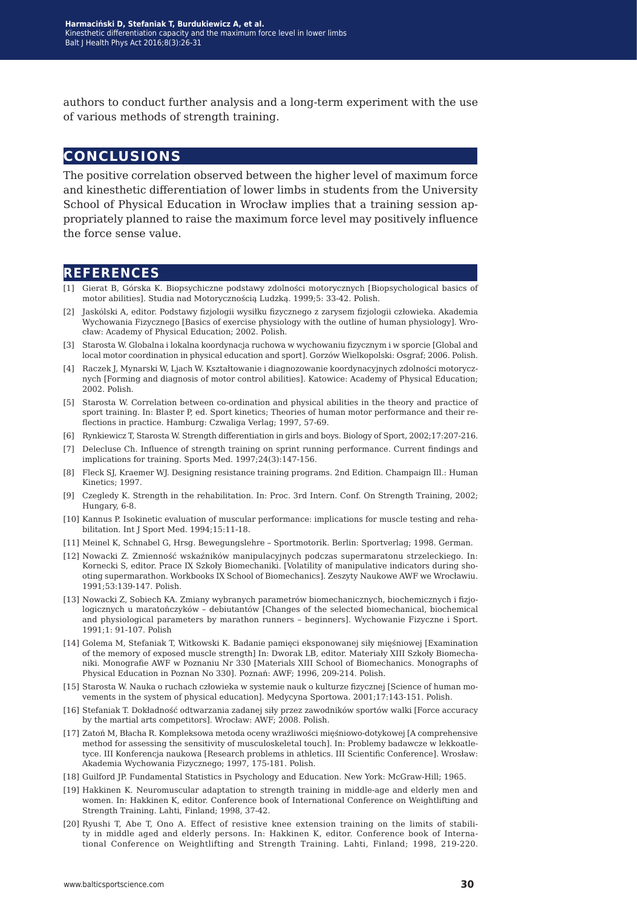authors to conduct further analysis and a long-term experiment with the use of various methods of strength training.

# **conclusions**

The positive correlation observed between the higher level of maximum force and kinesthetic differentiation of lower limbs in students from the University School of Physical Education in Wrocław implies that a training session appropriately planned to raise the maximum force level may positively influence the force sense value.

### **references**

- [1] Gierat B, Górska K. Biopsychiczne podstawy zdolności motorycznych [Biopsychological basics of motor abilities]. Studia nad Motorycznością Ludzką. 1999;5: 33-42. Polish.
- [2] Jaskólski A, editor. Podstawy fizjologii wysiłku fizycznego z zarysem fizjologii człowieka. Akademia Wychowania Fizycznego [Basics of exercise physiology with the outline of human physiology]. Wrocław: Academy of Physical Education; 2002. Polish.
- [3] Starosta W. Globalna i lokalna koordynacja ruchowa w wychowaniu fizycznym i w sporcie [Global and local motor coordination in physical education and sport]. Gorzów Wielkopolski: Osgraf; 2006. Polish.
- [4] Raczek J, Mynarski W, Ljach W. Kształtowanie i diagnozowanie koordynacyjnych zdolności motorycznych [Forming and diagnosis of motor control abilities]. Katowice: Academy of Physical Education; 2002. Polish.
- [5] Starosta W. Correlation between co-ordination and physical abilities in the theory and practice of sport training. In: Blaster P, ed. Sport kinetics; Theories of human motor performance and their reflections in practice. Hamburg: Czwaliga Verlag; 1997, 57-69.
- [6] Rynkiewicz T, Starosta W. Strength differentiation in girls and boys. Biology of Sport, 2002;17:207-216.
- [7] Delecluse Ch. Influence of strength training on sprint running performance. Current findings and implications for training. Sports Med. 1997;24(3):147-156.
- [8] Fleck SJ, Kraemer WJ. Designing resistance training programs. 2nd Edition. Champaign Ill.: Human Kinetics; 1997.
- [9] Czegledy K. Strength in the rehabilitation. In: Proc. 3rd Intern. Conf. On Strength Training, 2002; Hungary, 6-8.
- [10] Kannus P. Isokinetic evaluation of muscular performance: implications for muscle testing and rehabilitation. Int J Sport Med. 1994;15:11-18.
- [11] Meinel K, Schnabel G, Hrsg. Bewegungslehre Sportmotorik. Berlin: Sportverlag; 1998. German.
- [12] Nowacki Z. Zmienność wskaźników manipulacyjnych podczas supermaratonu strzeleckiego. In: Kornecki S, editor. Prace IX Szkoły Biomechaniki. [Volatility of manipulative indicators during shooting supermarathon. Workbooks IX School of Biomechanics]. Zeszyty Naukowe AWF we Wrocławiu. 1991;53:139-147. Polish.
- [13] Nowacki Z, Sobiech KA. Zmiany wybranych parametrów biomechanicznych, biochemicznych i fizjologicznych u maratończyków – debiutantów [Changes of the selected biomechanical, biochemical and physiological parameters by marathon runners – beginners]. Wychowanie Fizyczne i Sport. 1991;1: 91-107. Polish
- [14] Golema M, Stefaniak T, Witkowski K. Badanie pamięci eksponowanej siły mięśniowej [Examination of the memory of exposed muscle strength] In: Dworak LB, editor. Materiały XIII Szkoły Biomechaniki. Monografie AWF w Poznaniu Nr 330 [Materials XIII School of Biomechanics. Monographs of Physical Education in Poznan No 330]. Poznań: AWF; 1996, 209-214. Polish.
- [15] Starosta W. Nauka o ruchach człowieka w systemie nauk o kulturze fizycznej [Science of human movements in the system of physical education]. Medycyna Sportowa. 2001;17:143-151. Polish.
- [16] Stefaniak T. Dokładność odtwarzania zadanej siły przez zawodników sportów walki [Force accuracy by the martial arts competitors]. Wrocław: AWF; 2008. Polish.
- [17] Zatoń M, Błacha R. Kompleksowa metoda oceny wrażliwości mięśniowo-dotykowej [A comprehensive method for assessing the sensitivity of musculoskeletal touch]. In: Problemy badawcze w lekkoatletyce. III Konferencja naukowa [Research problems in athletics. III Scientific Conference]. Wrosław: Akademia Wychowania Fizycznego; 1997, 175-181. Polish.
- [18] Guilford JP. Fundamental Statistics in Psychology and Education. New York: McGraw-Hill; 1965.
- [19] Hakkinen K. Neuromuscular adaptation to strength training in middle-age and elderly men and women. In: Hakkinen K, editor. Conference book of International Conference on Weightlifting and Strength Training. Lahti, Finland; 1998, 37-42.
- [20] Ryushi T, Abe T, Ono A. Effect of resistive knee extension training on the limits of stability in middle aged and elderly persons. In: Hakkinen K, editor. Conference book of International Conference on Weightlifting and Strength Training. Lahti, Finland; 1998, 219-220.